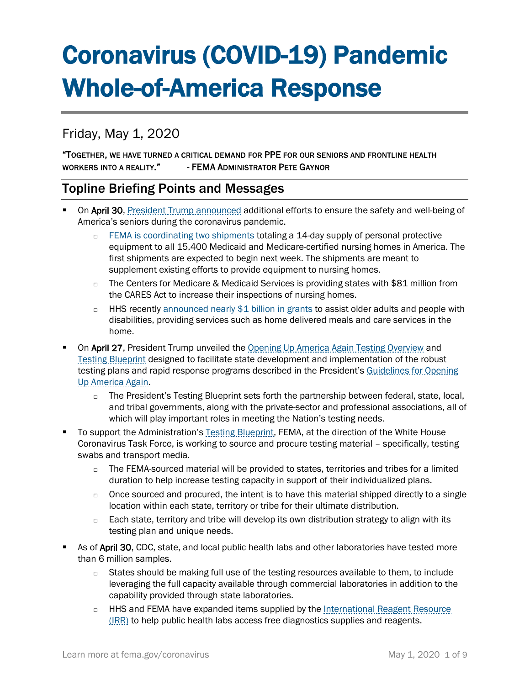# Coronavirus (COVID-19) Pandemic Whole-of-America Response

# Friday, May 1, 2020

### "TOGETHER, WE HAVE TURNED A CRITICAL DEMAND FOR PPE FOR OUR SENIORS AND FRONTLINE HEALTH WORKERS INTO A REALITY." - FEMA ADMINISTRATOR PETE GAYNOR

# Topline Briefing Points and Messages

- On April 30, [President Trump announced](https://www.whitehouse.gov/briefings-statements/president-donald-j-trump-remains-committed-caring-nations-seniors-coronavirus-pandemic-beyond/) additional efforts to ensure the safety and well-being of America's seniors during the coronavirus pandemic.
	- □ [FEMA is coordinating two](https://www.fema.gov/news-release/2020/04/30/personal-protective-equipment-medicare-and-medicaid-nursing-homes) shipments totaling a 14-day supply of personal protective equipment to all 15,400 Medicaid and Medicare-certified nursing homes in America. The first shipments are expected to begin next week. The shipments are meant to supplement existing efforts to provide equipment to nursing homes.
	- $\Box$  The Centers for Medicare & Medicaid Services is providing states with \$81 million from the CARES Act to increase their inspections of nursing homes.
	- □ HHS recently [announced nearly \\$1 billion in grants](https://www.hhs.gov/about/news/2020/04/21/hhs-announces-nearly-1-billion-cares-act-grants-support-older-adults-people-with-disabilities-community-during-covid-19-emergency.html) to assist older adults and people with disabilities, providing services such as home delivered meals and care services in the home.
- On April 27, President Trump unveiled the [Opening Up America Again Testing Overview](https://www.whitehouse.gov/wp-content/uploads/2020/04/Testing-Overview-Final.pdf) and [Testing Blueprint](https://www.whitehouse.gov/wp-content/uploads/2020/04/Testing-Overview-Final.pdf) designed to facilitate state development and implementation of the robust testing plans and rapid response programs described in the President's Guidelines for Opening [Up America Again.](https://www.whitehouse.gov/openingamerica/)
	- $\Box$  The President's Testing Blueprint sets forth the partnership between federal, state, local, and tribal governments, along with the private-sector and professional associations, all of which will play important roles in meeting the Nation's testing needs.
- To support the Administration's [Testing Blueprint,](https://www.whitehouse.gov/wp-content/uploads/2020/04/Testing-Blueprint.pdf) FEMA, at the direction of the White House Coronavirus Task Force, is working to source and procure testing material – specifically, testing swabs and transport media.
	- $\Box$  The FEMA-sourced material will be provided to states, territories and tribes for a limited duration to help increase testing capacity in support of their individualized plans.
	- o Once sourced and procured, the intent is to have this material shipped directly to a single location within each state, territory or tribe for their ultimate distribution.
	- $\Box$  Each state, territory and tribe will develop its own distribution strategy to align with its testing plan and unique needs.
- As of April 30, CDC, state, and local public health labs and other laboratories have tested more than 6 million samples.
	- $\Box$  States should be making full use of the testing resources available to them, to include leveraging the full capacity available through commercial laboratories in addition to the capability provided through state laboratories.
	- □ HHS and FEMA have expanded items supplied by the International Reagent Resource [\(IRR\)](http://www.internationalreagentresource.org/) to help public health labs access free diagnostics supplies and reagents.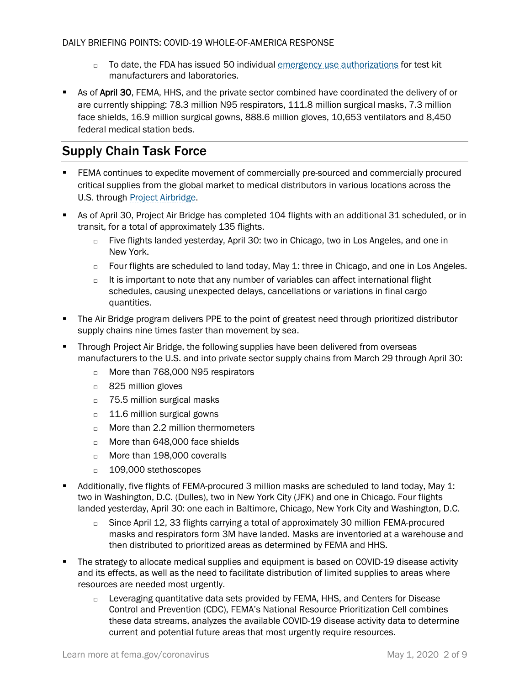- □ To date, the FDA has issued 50 individual [emergency use authorizations](https://www.fda.gov/medical-devices/emergency-situations-medical-devices/emergency-use-authorizations) for test kit manufacturers and laboratories.
- **As of April 30, FEMA, HHS, and the private sector combined have coordinated the delivery of or** are currently shipping: 78.3 million N95 respirators, 111.8 million surgical masks, 7.3 million face shields, 16.9 million surgical gowns, 888.6 million gloves, 10,653 ventilators and 8,450 federal medical station beds.

# Supply Chain Task Force

- **FEMA** continues to expedite movement of commercially pre-sourced and commercially procured critical supplies from the global market to medical distributors in various locations across the U.S. through [Project Airbridge.](https://www.fema.gov/news-release/2020/04/08/fema-covid-19-supply-chain-task-force-supply-chain-stabilization)
- As of April 30, Project Air Bridge has completed 104 flights with an additional 31 scheduled, or in transit, for a total of approximately 135 flights.
	- $\Box$  Five flights landed yesterday, April 30: two in Chicago, two in Los Angeles, and one in New York.
	- $\Box$  Four flights are scheduled to land today, May 1: three in Chicago, and one in Los Angeles.
	- $\Box$  It is important to note that any number of variables can affect international flight schedules, causing unexpected delays, cancellations or variations in final cargo quantities.
- **The Air Bridge program delivers PPE to the point of greatest need through prioritized distributor** supply chains nine times faster than movement by sea.
- **Through Project Air Bridge, the following supplies have been delivered from overseas** manufacturers to the U.S. and into private sector supply chains from March 29 through April 30:
	- □ More than 768,000 N95 respirators
	- □ 825 million gloves
	- □ 75.5 million surgical masks
	- □ 11.6 million surgical gowns
	- □ More than 2.2 million thermometers
	- More than 648,000 face shields
	- □ More than 198,000 coveralls
	- □ 109,000 stethoscopes
- Additionally, five flights of FEMA-procured 3 million masks are scheduled to land today, May 1: two in Washington, D.C. (Dulles), two in New York City (JFK) and one in Chicago. Four flights landed yesterday, April 30: one each in Baltimore, Chicago, New York City and Washington, D.C.
	- $\Box$  Since April 12, 33 flights carrying a total of approximately 30 million FEMA-procured masks and respirators form 3M have landed. Masks are inventoried at a warehouse and then distributed to prioritized areas as determined by FEMA and HHS.
- The strategy to allocate medical supplies and equipment is based on COVID-19 disease activity and its effects, as well as the need to facilitate distribution of limited supplies to areas where resources are needed most urgently.
	- $\Box$  Leveraging quantitative data sets provided by FEMA, HHS, and Centers for Disease Control and Prevention (CDC), FEMA's National Resource Prioritization Cell combines these data streams, analyzes the available COVID-19 disease activity data to determine current and potential future areas that most urgently require resources.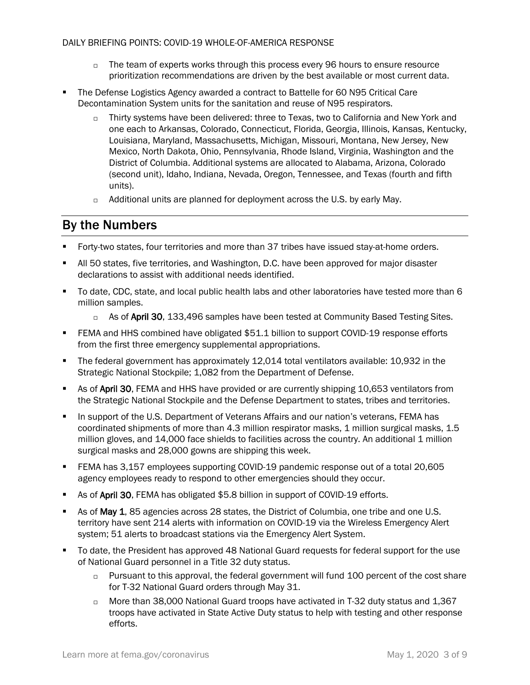- $\Box$  The team of experts works through this process every 96 hours to ensure resource prioritization recommendations are driven by the best available or most current data.
- The Defense Logistics Agency awarded a contract to Battelle for 60 N95 Critical Care Decontamination System units for the sanitation and reuse of N95 respirators.
	- $\Box$  Thirty systems have been delivered: three to Texas, two to California and New York and one each to Arkansas, Colorado, Connecticut, Florida, Georgia, Illinois, Kansas, Kentucky, Louisiana, Maryland, Massachusetts, Michigan, Missouri, Montana, New Jersey, New Mexico, North Dakota, Ohio, Pennsylvania, Rhode Island, Virginia, Washington and the District of Columbia. Additional systems are allocated to Alabama, Arizona, Colorado (second unit), Idaho, Indiana, Nevada, Oregon, Tennessee, and Texas (fourth and fifth units).
	- $\Box$  Additional units are planned for deployment across the U.S. by early May.

# By the Numbers

- Forty-two states, four territories and more than 37 tribes have issued stay-at-home orders.
- All 50 states, five territories, and Washington, D.C. have been approved for major disaster declarations to assist with additional needs identified.
- To date, CDC, state, and local public health labs and other laboratories have tested more than 6 million samples.
	- $\Box$  As of April 30, 133,496 samples have been tested at Community Based Testing Sites.
- FEMA and HHS combined have obligated \$51.1 billion to support COVID-19 response efforts from the first three emergency supplemental appropriations.
- The federal government has approximately 12,014 total ventilators available: 10,932 in the Strategic National Stockpile; 1,082 from the Department of Defense.
- **As of April 30, FEMA and HHS have provided or are currently shipping 10,653 ventilators from** the Strategic National Stockpile and the Defense Department to states, tribes and territories.
- In support of the U.S. Department of Veterans Affairs and our nation's veterans, FEMA has coordinated shipments of more than 4.3 million respirator masks, 1 million surgical masks, 1.5 million gloves, and 14,000 face shields to facilities across the country. An additional 1 million surgical masks and 28,000 gowns are shipping this week.
- FEMA has 3,157 employees supporting COVID-19 pandemic response out of a total 20,605 agency employees ready to respond to other emergencies should they occur.
- **As of April 30, FEMA has obligated \$5.8 billion in support of COVID-19 efforts.**
- As of May 1, 85 agencies across 28 states, the District of Columbia, one tribe and one U.S. territory have sent 214 alerts with information on COVID-19 via the Wireless Emergency Alert system; 51 alerts to broadcast stations via the Emergency Alert System.
- **The Guard Frest Conduct As approved 48 National Guard requests for federal support for the use** of National Guard personnel in a Title 32 duty status.
	- $\Box$  Pursuant to this approval, the federal government will fund 100 percent of the cost share for T-32 National Guard orders through May 31.
	- $\Box$  More than 38,000 National Guard troops have activated in T-32 duty status and 1,367 troops have activated in State Active Duty status to help with testing and other response efforts.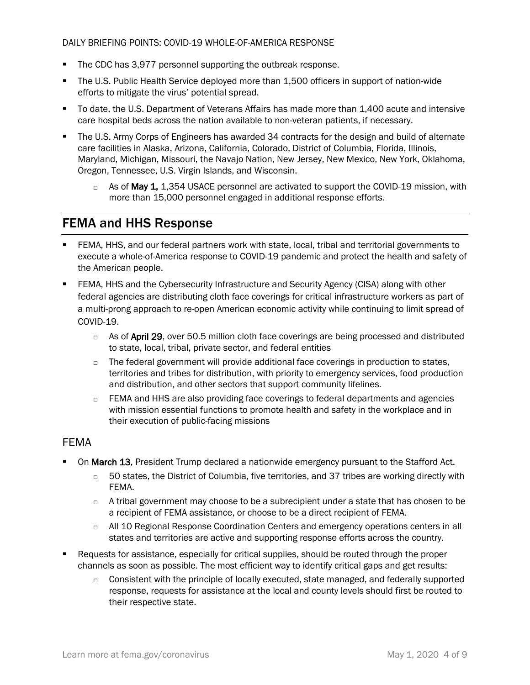- The CDC has 3,977 personnel supporting the outbreak response.
- The U.S. Public Health Service deployed more than 1,500 officers in support of nation-wide efforts to mitigate the virus' potential spread.
- To date, the U.S. Department of Veterans Affairs has made more than 1,400 acute and intensive care hospital beds across the nation available to non-veteran patients, if necessary.
- The U.S. Army Corps of Engineers has awarded 34 contracts for the design and build of alternate care facilities in Alaska, Arizona, California, Colorado, District of Columbia, Florida, Illinois, Maryland, Michigan, Missouri, the Navajo Nation, New Jersey, New Mexico, New York, Oklahoma, Oregon, Tennessee, U.S. Virgin Islands, and Wisconsin.
	- $\Box$  As of May 1, 1,354 USACE personnel are activated to support the COVID-19 mission, with more than 15,000 personnel engaged in additional response efforts.

# FEMA and HHS Response

- FEMA, HHS, and our federal partners work with state, local, tribal and territorial governments to execute a whole-of-America response to COVID-19 pandemic and protect the health and safety of the American people.
- FEMA, HHS and the Cybersecurity Infrastructure and Security Agency (CISA) along with other federal agencies are distributing cloth face coverings for critical infrastructure workers as part of a multi-prong approach to re-open American economic activity while continuing to limit spread of COVID-19.
	- $\Box$  As of April 29, over 50.5 million cloth face coverings are being processed and distributed to state, local, tribal, private sector, and federal entities
	- $\Box$  The federal government will provide additional face coverings in production to states, territories and tribes for distribution, with priority to emergency services, food production and distribution, and other sectors that support community lifelines.
	- $\Box$  FEMA and HHS are also providing face coverings to federal departments and agencies with mission essential functions to promote health and safety in the workplace and in their execution of public-facing missions

## FEMA

- On March 13, President Trump declared a nationwide emergency pursuant to the Stafford Act.
	- $\Box$  50 states, the District of Columbia, five territories, and 37 tribes are working directly with FEMA.
	- $\Box$  A tribal government may choose to be a subrecipient under a state that has chosen to be a recipient of FEMA assistance, or choose to be a direct recipient of FEMA.
	- All 10 Regional Response Coordination Centers and emergency operations centers in all states and territories are active and supporting response efforts across the country.
- Requests for assistance, especially for critical supplies, should be routed through the proper channels as soon as possible. The most efficient way to identify critical gaps and get results:
	- $\Box$  Consistent with the principle of locally executed, state managed, and federally supported response, requests for assistance at the local and county levels should first be routed to their respective state.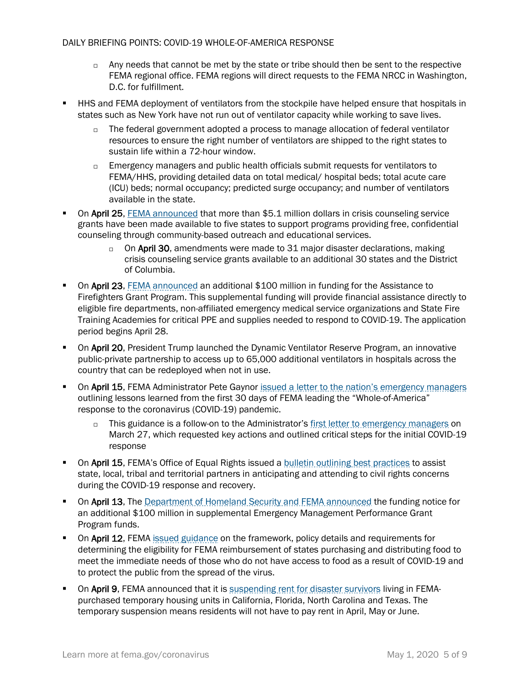- $\Box$  Any needs that cannot be met by the state or tribe should then be sent to the respective FEMA regional office. FEMA regions will direct requests to the FEMA NRCC in Washington, D.C. for fulfillment.
- HHS and FEMA deployment of ventilators from the stockpile have helped ensure that hospitals in states such as New York have not run out of ventilator capacity while working to save lives.
	- $\Box$  The federal government adopted a process to manage allocation of federal ventilator resources to ensure the right number of ventilators are shipped to the right states to sustain life within a 72-hour window.
	- $\Box$  Emergency managers and public health officials submit requests for ventilators to FEMA/HHS, providing detailed data on total medical/ hospital beds; total acute care (ICU) beds; normal occupancy; predicted surge occupancy; and number of ventilators available in the state.
- On April 25, [FEMA announced](https://www.fema.gov/news-release/2020/04/25/fema-awards-crisis-counseling-assistance-grants) that more than \$5.1 million dollars in crisis counseling service grants have been made available to five states to support programs providing free, confidential counseling through community-based outreach and educational services.
	- $\Box$  On April 30, amendments were made to 31 major disaster declarations, making crisis counseling service grants available to an additional 30 states and the District of Columbia.
- **On April 23, [FEMA announced](https://www.fema.gov/media-library/assets/documents/187460) an additional \$100 million in funding for the Assistance to** Firefighters Grant Program. This supplemental funding will provide financial assistance directly to eligible fire departments, non-affiliated emergency medical service organizations and State Fire Training Academies for critical PPE and supplies needed to respond to COVID-19. The application period begins April 28.
- **On April 20, President Trump launched the Dynamic Ventilator Reserve Program, an innovative** public-private partnership to access up to 65,000 additional ventilators in hospitals across the country that can be redeployed when not in use.
- On April 15, FEMA Administrator Pete Gaynor [issued a letter to the nation's emergency managers](https://www.fema.gov/news-release/2020/04/15/fema-administrator-april-15-2020-letter-emergency-managers) outlining lessons learned from the first 30 days of FEMA leading the "Whole-of-America" response to the coronavirus (COVID-19) pandemic.
	- $\Box$  This guidance is a follow-on to the Administrator'[s first letter to emergency managers](https://www.fema.gov/news-release/2020/03/27/fema-administrator-march-27-2020-letter-emergency-managers-requesting-action) on March 27, which requested key actions and outlined critical steps for the initial COVID-19 response
- On April 15, FEMA's Office of Equal Rights issued a [bulletin outlining best practices](https://www.fema.gov/media-library-data/1586893628400-f21a380f3db223e6075eeb3be67d50a6/EnsuringCivilRightsDuringtheCOVID19Response.pdf) to assist state, local, tribal and territorial partners in anticipating and attending to civil rights concerns during the COVID-19 response and recovery.
- **On April 13, The [Department of Homeland Security and FEMA announced](https://www.fema.gov/news-release/2020/04/14/fema-announces-funding-notice-emergency-management-performance-grant) the funding notice for** an additional \$100 million in supplemental Emergency Management Performance Grant Program funds.
- On April 12, FEMA [issued guidance](https://www.fema.gov/news-release/2020/04/12/coronavirus-covid-19-pandemic-purchase-and-distribution-food-eligible-public) on the framework, policy details and requirements for determining the eligibility for FEMA reimbursement of states purchasing and distributing food to meet the immediate needs of those who do not have access to food as a result of COVID-19 and to protect the public from the spread of the virus.
- On April 9, FEMA announced that it is [suspending rent for disaster survivors](https://www.fema.gov/news-release/2020/04/09/fema-announces-rent-suspension) living in FEMApurchased temporary housing units in California, Florida, North Carolina and Texas. The temporary suspension means residents will not have to pay rent in April, May or June.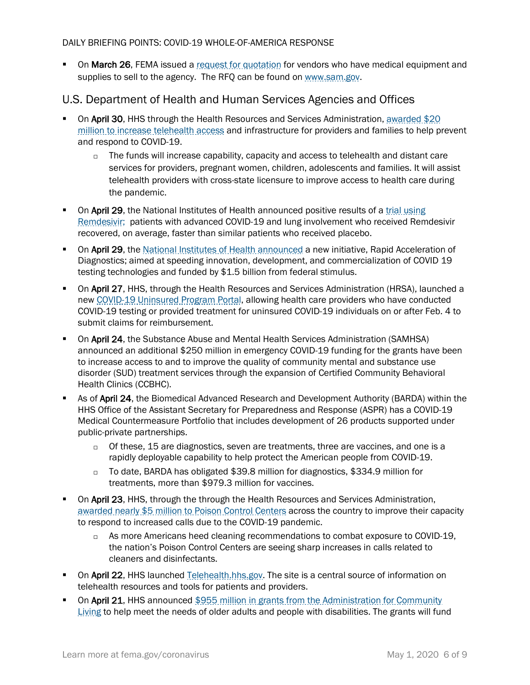• On March 26, FEMA issued a [request for quotation](https://beta.sam.gov/opp/3e05e664e606486ca34d1a41b47ff0ff/view) for vendors who have medical equipment and supplies to sell to the agency. The RFQ can be found on [www.sam.gov.](http://www.sam.gov/)

## U.S. Department of Health and Human Services Agencies and Offices

- On April 30, HHS through the Health Resources and Services Administration, awarded \$20 [million to increase telehealth access](https://www.hhs.gov/about/news/2020/04/30/hhs-awards-20-million-to-combat-covid19-pandemic-through-telehealth.html) and infrastructure for providers and families to help prevent and respond to COVID-19.
	- $\Box$  The funds will increase capability, capacity and access to telehealth and distant care services for providers, pregnant women, children, adolescents and families. It will assist telehealth providers with cross-state licensure to improve access to health care during the pandemic.
- On April 29, the National Institutes of Health announced positive results of a trial using [Remdesivir;](https://www.hhs.gov/about/news/2020/04/29/secretary-azar-statement-on-positive-results-from-nih-remdesivir-trial.html) patients with advanced COVID-19 and lung involvement who received Remdesivir recovered, on average, faster than similar patients who received placebo.
- **On April 29, the [National Institutes of Health announced](https://www.nih.gov/news-events/news-releases/nih-mobilizes-national-innovation-initiative-covid-19-diagnostics) a new initiative, Rapid Acceleration of** Diagnostics; aimed at speeding innovation, development, and commercialization of COVID 19 testing technologies and funded by \$1.5 billion from federal stimulus.
- **On April 27, HHS, through the Health Resources and Services Administration (HRSA), launched a** ne[w COVID-19 Uninsured Program Portal,](https://www.hrsa.gov/coviduninsuredclaim) allowing health care providers who have conducted COVID-19 testing or provided treatment for uninsured COVID-19 individuals on or after Feb. 4 to submit claims for reimbursement.
- **On April 24, the Substance Abuse and Mental Health Services Administration (SAMHSA)** announced an additional \$250 million in emergency COVID-19 funding for the grants have been to increase access to and to improve the quality of community mental and substance use disorder (SUD) treatment services through the expansion of Certified Community Behavioral Health Clinics (CCBHC).
- **As of April 24, the Biomedical Advanced Research and Development Authority (BARDA) within the** HHS Office of the Assistant Secretary for Preparedness and Response (ASPR) has a COVID-19 Medical Countermeasure Portfolio that includes development of 26 products supported under public-private partnerships.
	- $\Box$  Of these, 15 are diagnostics, seven are treatments, three are vaccines, and one is a rapidly deployable capability to help protect the American people from COVID-19.
	- □ To date, BARDA has obligated \$39.8 million for diagnostics, \$334.9 million for treatments, more than \$979.3 million for vaccines.
- On April 23, HHS, through the through the Health Resources and Services Administration, [awarded nearly \\$5 million to Poison Control Centers](https://www.hhs.gov/about/news/2020/04/23/hhs-awards-nearly-5-million-to-poison-control-centers-as-calls-spike-due-to-covid19.html) across the country to improve their capacity to respond to increased calls due to the COVID-19 pandemic.
	- $\Box$  As more Americans heed cleaning recommendations to combat exposure to COVID-19, the nation's Poison Control Centers are seeing sharp increases in calls related to cleaners and disinfectants.
- On April 22, HHS launched [Telehealth.hhs.gov.](https://telehealth.hhs.gov/) The site is a central source of information on telehealth resources and tools for patients and providers.
- On April 21, HHS announced \$955 million in grants from the Administration for Community [Living](https://www.hhs.gov/about/news/2020/04/21/hhs-announces-nearly-1-billion-cares-act-grants-support-older-adults-people-with-disabilities-community-during-covid-19-emergency.html) to help meet the needs of older adults and people with disabilities. The grants will fund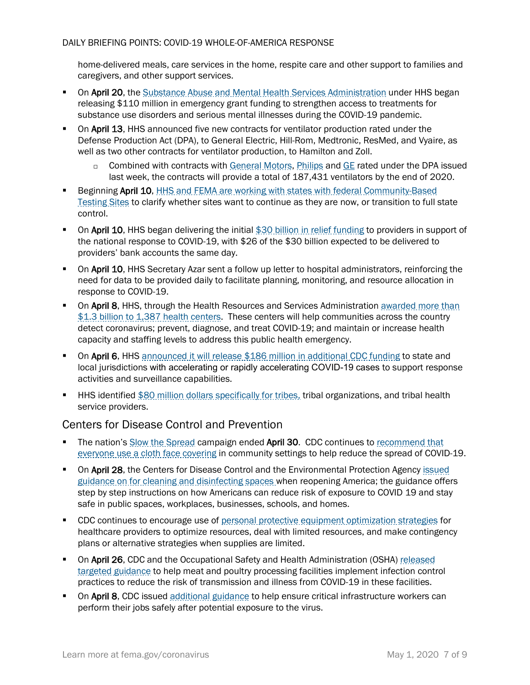home-delivered meals, care services in the home, respite care and other support to families and caregivers, and other support services.

- **The State of April 20, the [Substance Abuse and Mental Health Services Administration](https://www.samhsa.gov/) under HHS began** releasing \$110 million in emergency grant funding to strengthen access to treatments for substance use disorders and serious mental illnesses during the COVID-19 pandemic.
- On April 13, HHS announced five new contracts for ventilator production rated under the Defense Production Act (DPA), to General Electric, Hill-Rom, Medtronic, ResMed, and Vyaire, as well as two other contracts for ventilator production, to Hamilton and Zoll.
	- □ Combined with contracts with [General Motors,](https://www.hhs.gov/about/news/2020/04/08/hhs-announces-ventilator-contract-with-gm-under-defense-production-act.html) [Philips](https://www.hhs.gov/about/news/2020/04/08/hhs-announces-ventilator-contract-with-philips-under-defense-production-act.html) an[d GE](https://www.hhs.gov/about/news/2020/04/16/hhs-announces-ventilator-contract-with-ge-under-defense-production-act.html?utm_source=TWITTER&utm_medium=TWITTER&utm_content=100001226459954&utm_campaign=Press+Releases+and+Policy+Announcements&linkId=100000011823064) rated under the DPA issued last week, the contracts will provide a total of 187,431 ventilators by the end of 2020.
- Beginning April 10, [HHS and FEMA are working with states with federal Community-Based](https://www.fema.gov/news-release/2020/04/09/option-transition-federal-community-based-testing-sites-state-management)  [Testing Sites](https://www.fema.gov/news-release/2020/04/09/option-transition-federal-community-based-testing-sites-state-management) to clarify whether sites want to continue as they are now, or transition to full state control.
- On April 10, HHS began delivering the initial [\\$30 billion in relief funding](https://www.hhs.gov/about/news/2020/04/10/hhs-to-begin-immediate-delivery-of-initial-30-billion-of-cares-act-provider-relief-funding.html) to providers in support of the national response to COVID-19, with \$26 of the \$30 billion expected to be delivered to providers' bank accounts the same day.
- **DRET 10, HHS Secretary Azar sent a follow up letter to hospital administrators, reinforcing the** need for data to be provided daily to facilitate planning, monitoring, and resource allocation in response to COVID-19.
- On April 8, HHS, through the Health Resources and Services Administration awarded more than [\\$1.3 billion to 1,387 health centers.](https://www.hhs.gov/about/news/2020/04/08/hhs-awards-billion-to-health-centers-in-historic-covid19-response.html) These centers will help communities across the country detect coronavirus; prevent, diagnose, and treat COVID-19; and maintain or increase health capacity and staffing levels to address this public health emergency.
- On April 6, HHS [announced it will release \\$186 million in additional CDC funding](https://www.hhs.gov/about/news/2020/04/06/hhs-announces-upcoming-funding-action-provide-186-million-covid19-response.html) to state and local jurisdictions with accelerating or rapidly accelerating COVID-19 cases to support response activities and surveillance capabilities.
- HHS identified [\\$80 million dollars specifically for tribes,](https://www.hhs.gov/about/news/2020/03/20/hhs-announces-upcoming-action-to-provide-funding-to-tribes-for-covid-19-response.html) tribal organizations, and tribal health service providers.

## Centers for Disease Control and Prevention

- The nation'[s Slow the Spread](https://www.coronavirus.gov/) campaign ended April 30. CDC continues to recommend that [everyone use a cloth face covering](https://www.cdc.gov/coronavirus/2019-ncov/prevent-getting-sick/cloth-face-cover.html) in community settings to help reduce the spread of COVID-19.
- On April 28, the Centers for Disease Control and the Environmental Protection Agency issued [guidance on for cleaning and disinfecting spaces](https://www.cdc.gov/coronavirus/2019-ncov/community/reopen-guidance.html) when reopening America; the guidance offers step by step instructions on how Americans can reduce risk of exposure to COVID 19 and stay safe in public spaces, workplaces, businesses, schools, and homes.
- **CDC** continues to encourage use of [personal protective equipment optimization strategies](https://www.cdc.gov/coronavirus/2019-ncov/hcp/ppe-strategy/index.html) for healthcare providers to optimize resources, deal with limited resources, and make contingency plans or alternative strategies when supplies are limited.
- On April 26, CDC and the Occupational Safety and Health Administration (OSHA) released [targeted guidance](https://www.cdc.gov/coronavirus/2019-ncov/community/organizations/meat-poultry-processing-workers-employers.html) to help meat and poultry processing facilities implement infection control practices to reduce the risk of transmission and illness from COVID-19 in these facilities.
- On April 8, CDC issued [additional guidance](https://www.cdc.gov/coronavirus/2019-ncov/community/critical-workers/implementing-safety-practices.html) to help ensure critical infrastructure workers can perform their jobs safely after potential exposure to the virus.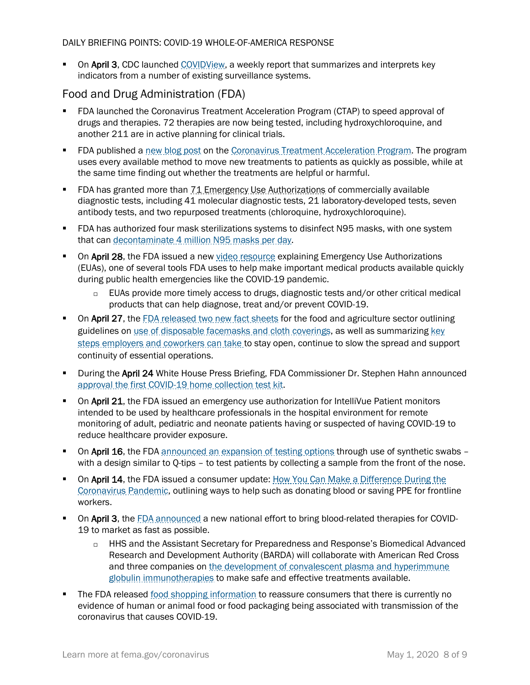• On April 3, CDC launched [COVIDView,](https://www.cdc.gov/coronavirus/2019-ncov/covid-data/pdf/covidview.pdf) a weekly report that summarizes and interprets key indicators from a number of existing surveillance systems.

## Food and Drug Administration (FDA)

- FDA launched the Coronavirus Treatment Acceleration Program (CTAP) to speed approval of drugs and therapies. 72 therapies are now being tested, including hydroxychloroquine, and another 211 are in active planning for clinical trials.
- **FIDA** published a [new blog post](https://www.fda.gov/news-events/fda-voices-perspectives-fda-leadership-and-experts/path-forward-coronavirus-treatment-acceleration-program) on the [Coronavirus Treatment Acceleration Program.](https://www.fda.gov/drugs/coronavirus-covid-19-drugs/coronavirus-treatment-acceleration-program-ctap) The program uses every available method to move new treatments to patients as quickly as possible, while at the same time finding out whether the treatments are helpful or harmful.
- FDA has granted more than 71 Emergency Use Authorizations of commercially available diagnostic tests, including 41 molecular diagnostic tests, 21 laboratory-developed tests, seven antibody tests, and two repurposed treatments (chloroquine, hydroxychloroquine).
- FDA has authorized four mask sterilizations systems to disinfect N95 masks, with one system that can [decontaminate 4 million N95 masks per day.](https://www.fda.gov/news-events/press-announcements/coronavirus-covid-19-update-fda-issues-emergency-use-authorization-decontaminate-millions-n95)
- On April 28, the FDA issued a new [video resource](https://youtu.be/iGkwaESsGBQ) explaining Emergency Use Authorizations (EUAs), one of several tools FDA uses to help make important medical products available quickly during public health emergencies like the COVID-19 pandemic.
	- □ EUAs provide more timely access to drugs, diagnostic tests and/or other critical medical products that can help diagnose, treat and/or prevent COVID-19.
- On April 27, the [FDA released two new fact sheets](https://www.fda.gov/news-events/press-announcements/coronavirus-covid-19-update-daily-roundup-april-27-2020) for the food and agriculture sector outlining guidelines on [use of disposable facemasks and cloth coverings,](https://www.fda.gov/food/food-safety-during-emergencies/use-respirators-facemasks-and-cloth-face-coverings-food-and-agriculture-sector-during-coronavirus) as well as summarizing key [steps employers and coworkers can take](https://www.fda.gov/food/food-safety-during-emergencies/what-do-if-you-have-covid-19-confirmed-positive-or-exposed-workers-your-food-production-storage-or) to stay open, continue to slow the spread and support continuity of essential operations.
- **During the April 24 White House Press Briefing, FDA Commissioner Dr. Stephen Hahn announced** [approval the first COVID-19 home collection test kit.](https://www.fda.gov/news-events/press-announcements/coronavirus-covid-19-update-fda-authorizes-first-test-patient-home-sample-collection)
- **On April 21, the FDA issued an emergency use authorization for IntelliVue Patient monitors** intended to be used by healthcare professionals in the hospital environment for remote monitoring of adult, pediatric and neonate patients having or suspected of having COVID-19 to reduce healthcare provider exposure.
- On April 16, the FDA [announced an expansion of testing options](https://www.fda.gov/news-events/press-announcements/coronavirus-covid-19-update-fda-gates-foundation-unitedhealth-group-quantigen-and-us-cotton) through use of synthetic swabs with a design similar to Q-tips – to test patients by collecting a sample from the front of the nose.
- On April 14, the FDA issued a consumer update: How You Can Make a Difference During the [Coronavirus Pandemic,](https://www.fda.gov/consumers/consumer-updates/how-you-can-make-difference-during-coronavirus-pandemic) outlining ways to help such as donating blood or saving PPE for frontline workers.
- On April 3, the [FDA announced](https://www.fda.gov/news-events/press-announcements/coronavirus-covid-19-update-fda-coordinates-national-effort-develop-blood-related-therapies-covid-19) a new national effort to bring blood-related therapies for COVID-19 to market as fast as possible.
	- HHS and the Assistant Secretary for Preparedness and Response's Biomedical Advanced Research and Development Authority (BARDA) will collaborate with American Red Cross and three companies on the development of convalescent plasma and hyperimmune [globulin immunotherapies](https://www.phe.gov/Preparedness/news/Pages/immunotherapies-COVID-13April20.aspx) to make safe and effective treatments available.
- The FDA released [food shopping information](https://www.fda.gov/food/food-safety-during-emergencies/shopping-food-during-covid-19-pandemic-information-consumers) to reassure consumers that there is currently no evidence of human or animal food or food packaging being associated with transmission of the coronavirus that causes COVID-19.